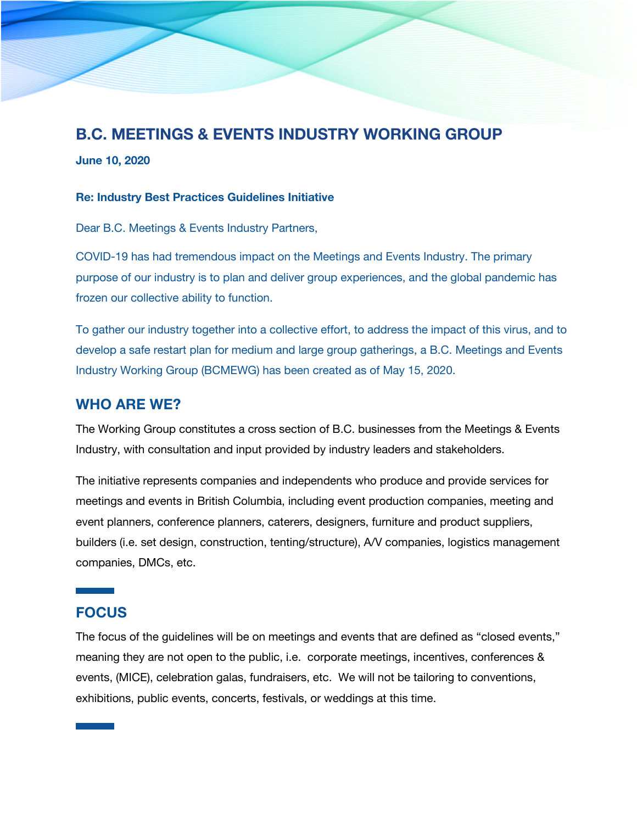# **B.C. MEETINGS & EVENTS INDUSTRY WORKING GROUP**

**June 10, 2020**

#### **Re: Industry Best Practices Guidelines Initiative**

Dear B.C. Meetings & Events Industry Partners,

COVID-19 has had tremendous impact on the Meetings and Events Industry. The primary purpose of our industry is to plan and deliver group experiences, and the global pandemic has frozen our collective ability to function.

To gather our industry together into a collective effort, to address the impact of this virus, and to develop a safe restart plan for medium and large group gatherings, a B.C. Meetings and Events Industry Working Group (BCMEWG) has been created as of May 15, 2020.

### **WHO ARE WE?**

The Working Group constitutes a cross section of B.C. businesses from the Meetings & Events Industry, with consultation and input provided by industry leaders and stakeholders.

The initiative represents companies and independents who produce and provide services for meetings and events in British Columbia, including event production companies, meeting and event planners, conference planners, caterers, designers, furniture and product suppliers, builders (i.e. set design, construction, tenting/structure), A/V companies, logistics management companies, DMCs, etc.

## **FOCUS**

The focus of the guidelines will be on meetings and events that are defined as "closed events," meaning they are not open to the public, i.e. corporate meetings, incentives, conferences & events, (MICE), celebration galas, fundraisers, etc. We will not be tailoring to conventions, exhibitions, public events, concerts, festivals, or weddings at this time.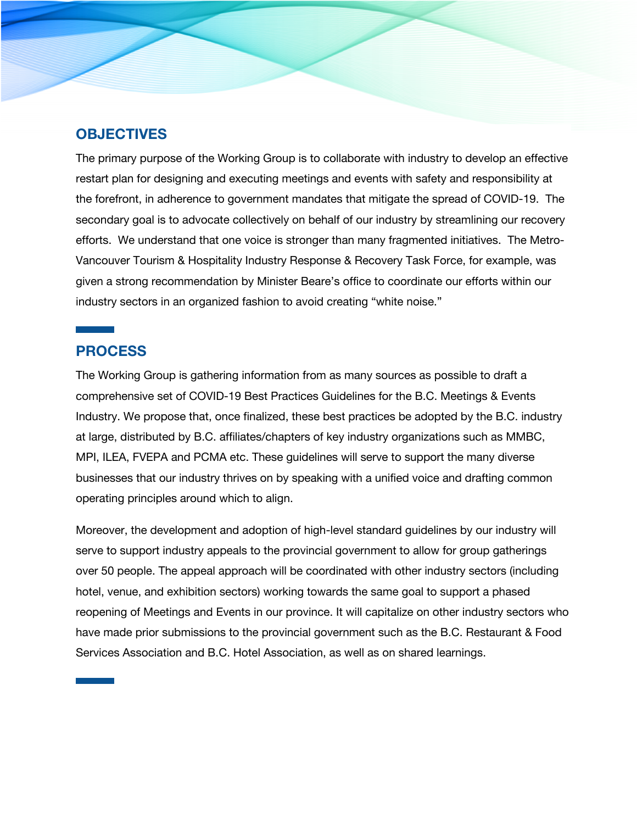### **OBJECTIVES**

The primary purpose of the Working Group is to collaborate with industry to develop an effective restart plan for designing and executing meetings and events with safety and responsibility at the forefront, in adherence to government mandates that mitigate the spread of COVID-19. The secondary goal is to advocate collectively on behalf of our industry by streamlining our recovery efforts. We understand that one voice is stronger than many fragmented initiatives. The Metro-Vancouver Tourism & Hospitality Industry Response & Recovery Task Force, for example, was given a strong recommendation by Minister Beare's office to coordinate our efforts within our industry sectors in an organized fashion to avoid creating "white noise."

#### **PROCESS**

The Working Group is gathering information from as many sources as possible to draft a comprehensive set of COVID-19 Best Practices Guidelines for the B.C. Meetings & Events Industry. We propose that, once finalized, these best practices be adopted by the B.C. industry at large, distributed by B.C. affiliates/chapters of key industry organizations such as MMBC, MPI, ILEA, FVEPA and PCMA etc. These guidelines will serve to support the many diverse businesses that our industry thrives on by speaking with a unified voice and drafting common operating principles around which to align.

Moreover, the development and adoption of high-level standard guidelines by our industry will serve to support industry appeals to the provincial government to allow for group gatherings over 50 people. The appeal approach will be coordinated with other industry sectors (including hotel, venue, and exhibition sectors) working towards the same goal to support a phased reopening of Meetings and Events in our province. It will capitalize on other industry sectors who have made prior submissions to the provincial government such as the B.C. Restaurant & Food Services Association and B.C. Hotel Association, as well as on shared learnings.